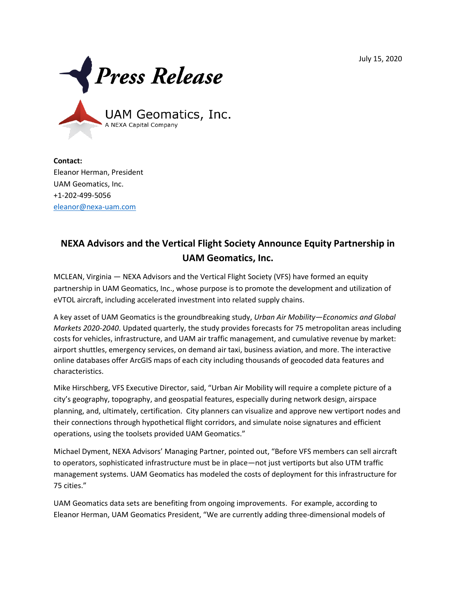July 15, 2020



**Contact:** Eleanor Herman, President UAM Geomatics, Inc. +1-202-499-5056 [eleanor@nexa-uam.com](mailto:eleanor@nexa-uam.com)

## **NEXA Advisors and the Vertical Flight Society Announce Equity Partnership in UAM Geomatics, Inc.**

MCLEAN, Virginia — NEXA Advisors and the Vertical Flight Society (VFS) have formed an equity partnership in UAM Geomatics, Inc., whose purpose is to promote the development and utilization of eVTOL aircraft, including accelerated investment into related supply chains.

A key asset of UAM Geomatics is the groundbreaking study, *Urban Air Mobility—Economics and Global Markets 2020-2040*. Updated quarterly, the study provides forecasts for 75 metropolitan areas including costs for vehicles, infrastructure, and UAM air traffic management, and cumulative revenue by market: airport shuttles, emergency services, on demand air taxi, business aviation, and more. The interactive online databases offer ArcGIS maps of each city including thousands of geocoded data features and characteristics.

Mike Hirschberg, VFS Executive Director, said, "Urban Air Mobility will require a complete picture of a city's geography, topography, and geospatial features, especially during network design, airspace planning, and, ultimately, certification. City planners can visualize and approve new vertiport nodes and their connections through hypothetical flight corridors, and simulate noise signatures and efficient operations, using the toolsets provided UAM Geomatics."

Michael Dyment, NEXA Advisors' Managing Partner, pointed out, "Before VFS members can sell aircraft to operators, sophisticated infrastructure must be in place—not just vertiports but also UTM traffic management systems. UAM Geomatics has modeled the costs of deployment for this infrastructure for 75 cities."

UAM Geomatics data sets are benefiting from ongoing improvements. For example, according to Eleanor Herman, UAM Geomatics President, "We are currently adding three-dimensional models of